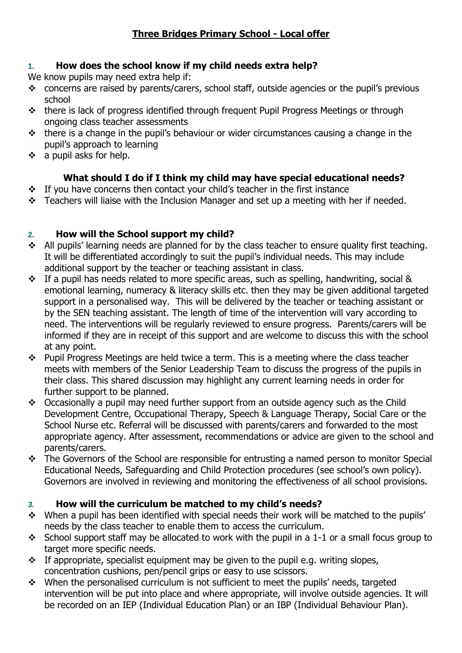# **Three Bridges Primary School - Local offer**

### **1. How does the school know if my child needs extra help?**

- We know pupils may need extra help if:
- $\div$  concerns are raised by parents/carers, school staff, outside agencies or the pupil's previous school
- \* there is lack of progress identified through frequent Pupil Progress Meetings or through ongoing class teacher assessments
- $\cdot$  there is a change in the pupil's behaviour or wider circumstances causing a change in the pupil's approach to learning
- $\div$  a pupil asks for help.

# **What should I do if I think my child may have special educational needs?**

- $\div$  If you have concerns then contact your child's teacher in the first instance
- \* Teachers will liaise with the Inclusion Manager and set up a meeting with her if needed.

## **2. How will the School support my child?**

- All pupils' learning needs are planned for by the class teacher to ensure quality first teaching. It will be differentiated accordingly to suit the pupil's individual needs. This may include additional support by the teacher or teaching assistant in class.
- $\cdot \cdot$  If a pupil has needs related to more specific areas, such as spelling, handwriting, social & emotional learning, numeracy & literacy skills etc. then they may be given additional targeted support in a personalised way. This will be delivered by the teacher or teaching assistant or by the SEN teaching assistant. The length of time of the intervention will vary according to need. The interventions will be regularly reviewed to ensure progress. Parents/carers will be informed if they are in receipt of this support and are welcome to discuss this with the school at any point.
- $\cdot \cdot$  Pupil Progress Meetings are held twice a term. This is a meeting where the class teacher meets with members of the Senior Leadership Team to discuss the progress of the pupils in their class. This shared discussion may highlight any current learning needs in order for further support to be planned.
- \* Occasionally a pupil may need further support from an outside agency such as the Child Development Centre, Occupational Therapy, Speech & Language Therapy, Social Care or the School Nurse etc. Referral will be discussed with parents/carers and forwarded to the most appropriate agency. After assessment, recommendations or advice are given to the school and parents/carers.
- \* The Governors of the School are responsible for entrusting a named person to monitor Special Educational Needs, Safeguarding and Child Protection procedures (see school's own policy). Governors are involved in reviewing and monitoring the effectiveness of all school provisions.

## *3.* **How will the curriculum be matched to my child's needs?**

- \* When a pupil has been identified with special needs their work will be matched to the pupils' needs by the class teacher to enable them to access the curriculum.
- School support staff may be allocated to work with the pupil in a 1-1 or a small focus group to target more specific needs.
- $\cdot$  If appropriate, specialist equipment may be given to the pupil e.g. writing slopes, concentration cushions, pen/pencil grips or easy to use scissors.
- When the personalised curriculum is not sufficient to meet the pupils' needs, targeted intervention will be put into place and where appropriate, will involve outside agencies. It will be recorded on an IEP (Individual Education Plan) or an IBP (Individual Behaviour Plan).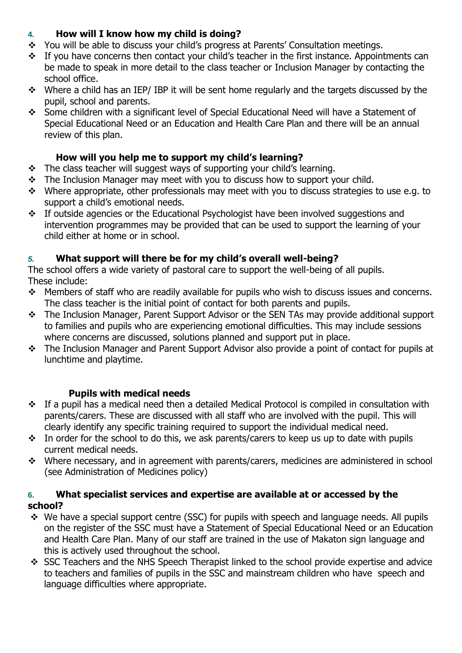## **4. How will I know how my child is doing?**

- \* You will be able to discuss your child's progress at Parents' Consultation meetings.
- \* If you have concerns then contact your child's teacher in the first instance. Appointments can be made to speak in more detail to the class teacher or Inclusion Manager by contacting the school office.
- $\cdot \cdot$  Where a child has an IEP/ IBP it will be sent home regularly and the targets discussed by the pupil, school and parents.
- Some children with a significant level of Special Educational Need will have a Statement of Special Educational Need or an Education and Health Care Plan and there will be an annual review of this plan.

### **How will you help me to support my child's learning?**

- $\cdot \cdot$  The class teacher will suggest ways of supporting your child's learning.
- \* The Inclusion Manager may meet with you to discuss how to support your child.
- \* Where appropriate, other professionals may meet with you to discuss strategies to use e.g. to support a child's emotional needs.
- \* If outside agencies or the Educational Psychologist have been involved suggestions and intervention programmes may be provided that can be used to support the learning of your child either at home or in school.

## *5.* **What support will there be for my child's overall well-being?**

The school offers a wide variety of pastoral care to support the well-being of all pupils. These include:

- \* Members of staff who are readily available for pupils who wish to discuss issues and concerns. The class teacher is the initial point of contact for both parents and pupils.
- \* The Inclusion Manager, Parent Support Advisor or the SEN TAs may provide additional support to families and pupils who are experiencing emotional difficulties. This may include sessions where concerns are discussed, solutions planned and support put in place.
- \* The Inclusion Manager and Parent Support Advisor also provide a point of contact for pupils at lunchtime and playtime.

## **Pupils with medical needs**

- If a pupil has a medical need then a detailed Medical Protocol is compiled in consultation with parents/carers. These are discussed with all staff who are involved with the pupil. This will clearly identify any specific training required to support the individual medical need.
- In order for the school to do this, we ask parents/carers to keep us up to date with pupils current medical needs.
- Where necessary, and in agreement with parents/carers, medicines are administered in school (see Administration of Medicines policy)

### **6. What specialist services and expertise are available at or accessed by the school?**

- $\div$  We have a special support centre (SSC) for pupils with speech and language needs. All pupils on the register of the SSC must have a Statement of Special Educational Need or an Education and Health Care Plan. Many of our staff are trained in the use of Makaton sign language and this is actively used throughout the school.
- SSC Teachers and the NHS Speech Therapist linked to the school provide expertise and advice to teachers and families of pupils in the SSC and mainstream children who have speech and language difficulties where appropriate.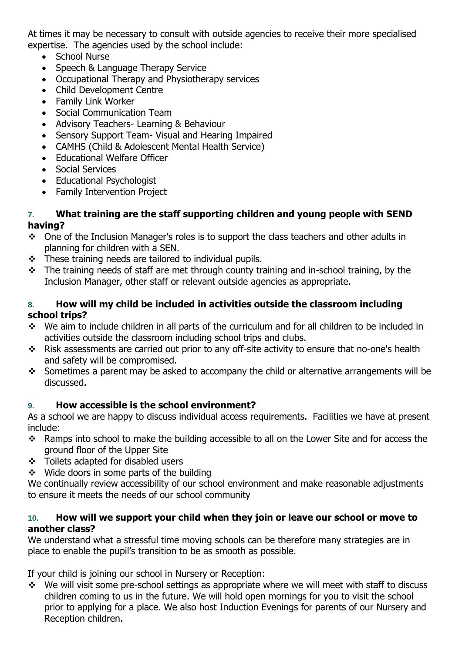At times it may be necessary to consult with outside agencies to receive their more specialised expertise. The agencies used by the school include:

- School Nurse
- Speech & Language Therapy Service
- Occupational Therapy and Physiotherapy services
- Child Development Centre
- Family Link Worker
- Social Communication Team
- Advisory Teachers- Learning & Behaviour
- Sensory Support Team- Visual and Hearing Impaired
- CAMHS (Child & Adolescent Mental Health Service)
- Educational Welfare Officer
- Social Services
- Educational Psychologist
- Family Intervention Project

### **7. What training are the staff supporting children and young people with SEND having?**

- \* One of the Inclusion Manager's roles is to support the class teachers and other adults in planning for children with a SEN.
- $\div$  These training needs are tailored to individual pupils.
- $\div$  The training needs of staff are met through county training and in-school training, by the Inclusion Manager, other staff or relevant outside agencies as appropriate.

### **8. How will my child be included in activities outside the classroom including school trips?**

- \* We aim to include children in all parts of the curriculum and for all children to be included in activities outside the classroom including school trips and clubs.
- \* Risk assessments are carried out prior to any off-site activity to ensure that no-one's health and safety will be compromised.
- Sometimes a parent may be asked to accompany the child or alternative arrangements will be discussed.

## **9. How accessible is the school environment?**

As a school we are happy to discuss individual access requirements. Facilities we have at present include:

- \* Ramps into school to make the building accessible to all on the Lower Site and for access the ground floor of the Upper Site
- Toilets adapted for disabled users
- $\div$  Wide doors in some parts of the building

We continually review accessibility of our school environment and make reasonable adjustments to ensure it meets the needs of our school community

#### **10. How will we support your child when they join or leave our school or move to another class?**

We understand what a stressful time moving schools can be therefore many strategies are in place to enable the pupil's transition to be as smooth as possible.

If your child is joining our school in Nursery or Reception:

 $\div$  We will visit some pre-school settings as appropriate where we will meet with staff to discuss children coming to us in the future. We will hold open mornings for you to visit the school prior to applying for a place. We also host Induction Evenings for parents of our Nursery and Reception children.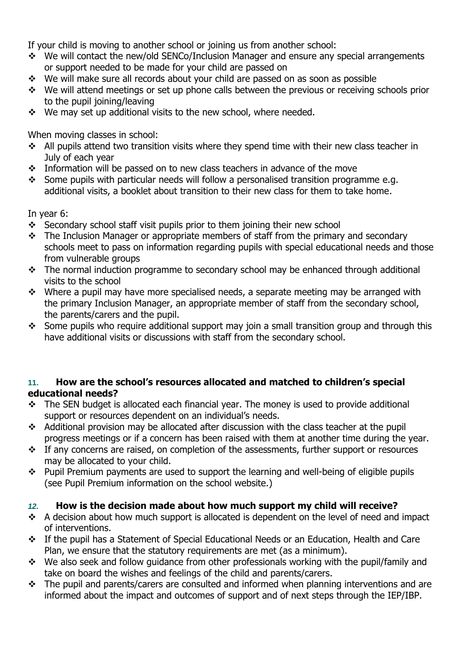If your child is moving to another school or joining us from another school:

- We will contact the new/old SENCo/Inclusion Manager and ensure any special arrangements or support needed to be made for your child are passed on
- \* We will make sure all records about your child are passed on as soon as possible
- \* We will attend meetings or set up phone calls between the previous or receiving schools prior to the pupil joining/leaving
- \* We may set up additional visits to the new school, where needed.

When moving classes in school:

- $\cdot$  All pupils attend two transition visits where they spend time with their new class teacher in July of each year
- $\cdot$  Information will be passed on to new class teachers in advance of the move
- Some pupils with particular needs will follow a personalised transition programme e.g. additional visits, a booklet about transition to their new class for them to take home.

In year 6:

- Secondary school staff visit pupils prior to them joining their new school
- $\cdot \cdot$  The Inclusion Manager or appropriate members of staff from the primary and secondary schools meet to pass on information regarding pupils with special educational needs and those from vulnerable groups
- \* The normal induction programme to secondary school may be enhanced through additional visits to the school
- $\div$  Where a pupil may have more specialised needs, a separate meeting may be arranged with the primary Inclusion Manager, an appropriate member of staff from the secondary school, the parents/carers and the pupil.
- Some pupils who require additional support may join a small transition group and through this have additional visits or discussions with staff from the secondary school.

#### **11. How are the school's resources allocated and matched to children's special educational needs?**

- \* The SEN budget is allocated each financial year. The money is used to provide additional support or resources dependent on an individual's needs.
- \* Additional provision may be allocated after discussion with the class teacher at the pupil progress meetings or if a concern has been raised with them at another time during the year.
- \* If any concerns are raised, on completion of the assessments, further support or resources may be allocated to your child.
- \* Pupil Premium payments are used to support the learning and well-being of eligible pupils (see Pupil Premium information on the school website.)

## *12.* **How is the decision made about how much support my child will receive?**

- $\div$  A decision about how much support is allocated is dependent on the level of need and impact of interventions.
- If the pupil has a Statement of Special Educational Needs or an Education, Health and Care Plan, we ensure that the statutory requirements are met (as a minimum).
- \* We also seek and follow quidance from other professionals working with the pupil/family and take on board the wishes and feelings of the child and parents/carers.
- $\cdot \cdot$  The pupil and parents/carers are consulted and informed when planning interventions and are informed about the impact and outcomes of support and of next steps through the IEP/IBP.